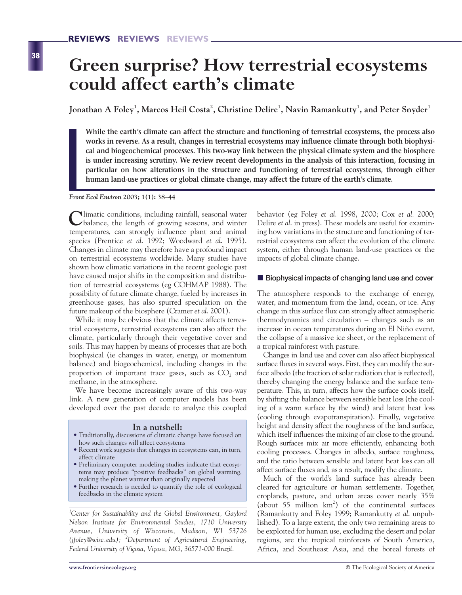# **Green surprise? How terrestrial ecosystems could affect earth's climate**

<code>Jonathan A Foley $^1$ , Marcos Heil Costa $^2$ , Christine Delire $^1$ , Navin Ramankutty $^1$ , and Peter Snyder $^1$ </code>

**While the earth's climate can affect the structure and functioning of terrestrial ecosystems, the process also works in reverse. As a result, changes in terrestrial ecosystems may influence climate through both biophysical and biogeochemical processes. This two-way link between the physical climate system and the biosphere is under increasing scrutiny. We review recent developments in the analysis of this interaction, focusing in particular on how alterations in the structure and functioning of terrestrial ecosystems, through either human land-use practices or global climate change, may affect the future of the earth's climate.** 

*Front Ecol Environ* **2003; 1(1): 38–44**

**C**limatic conditions, including rainfall, seasonal water balance, the length of growing seasons, and winter temperatures, can strongly influence plant and animal species (Prentice *et al*. 1992; Woodward *et al*. 1995). Changes in climate may therefore have a profound impact on terrestrial ecosystems worldwide. Many studies have shown how climatic variations in the recent geologic past have caused major shifts in the composition and distribution of terrestrial ecosystems (eg COHMAP 1988). The possibility of future climate change, fueled by increases in greenhouse gases, has also spurred speculation on the future makeup of the biosphere (Cramer *et al*. 2001).

While it may be obvious that the climate affects terrestrial ecosystems, terrestrial ecosystems can also affect the climate, particularly through their vegetative cover and soils. This may happen by means of processes that are both biophysical (ie changes in water, energy, or momentum balance) and biogeochemical, including changes in the proportion of important trace gases, such as  $CO<sub>2</sub>$  and methane, in the atmosphere.

We have become increasingly aware of this two-way link. A new generation of computer models has been developed over the past decade to analyze this coupled

#### **In a nutshell:**

- Traditionally, discussions of climatic change have focused on how such changes will affect ecosystems
- Recent work suggests that changes in ecosystems can, in turn, affect climate
- Preliminary computer modeling studies indicate that ecosystems may produce "positive feedbacks" on global warming, making the planet warmer than originally expected
- Further research is needed to quantify the role of ecological feedbacks in the climate system

*1 Center for Sustainability and the Global Environment, Gaylord Nelson Institute for Environmental Studies, 1710 University Avenue, University of Wisconsin, Madison, WI 53726 (jfoley@wisc.edu); <sup>2</sup> Department of Agricultural Engineering, Federal University of Viçosa, Viçosa, MG, 36571-000 Brazil.*

behavior (eg Foley *et al*. 1998, 2000; Cox *et al*. 2000; Delire *et al*. in press). These models are useful for examining how variations in the structure and functioning of terrestrial ecosystems can affect the evolution of the climate system, either through human land-use practices or the impacts of global climate change.

### **E** Biophysical impacts of changing land use and cover

The atmosphere responds to the exchange of energy, water, and momentum from the land, ocean, or ice. Any change in this surface flux can strongly affect atmospheric thermodynamics and circulation – changes such as an increase in ocean temperatures during an El Niño event, the collapse of a massive ice sheet, or the replacement of a tropical rainforest with pasture.

Changes in land use and cover can also affect biophysical surface fluxes in several ways. First, they can modify the surface albedo (the fraction of solar radiation that is reflected), thereby changing the energy balance and the surface temperature. This, in turn, affects how the surface cools itself, by shifting the balance between sensible heat loss (the cooling of a warm surface by the wind) and latent heat loss (cooling through evapotranspiration). Finally, vegetative height and density affect the roughness of the land surface, which itself influences the mixing of air close to the ground. Rough surfaces mix air more efficiently, enhancing both cooling processes. Changes in albedo, surface roughness, and the ratio between sensible and latent heat loss can all affect surface fluxes and, as a result, modify the climate.

Much of the world's land surface has already been cleared for agriculture or human settlements. Together, croplands, pasture, and urban areas cover nearly 35% (about 55 million  $km^2$ ) of the continental surfaces (Ramankutty and Foley 1999; Ramankutty *et al*. unpublished). To a large extent, the only two remaining areas to be exploited for human use, excluding the desert and polar regions, are the tropical rainforests of South America, Africa, and Southeast Asia, and the boreal forests of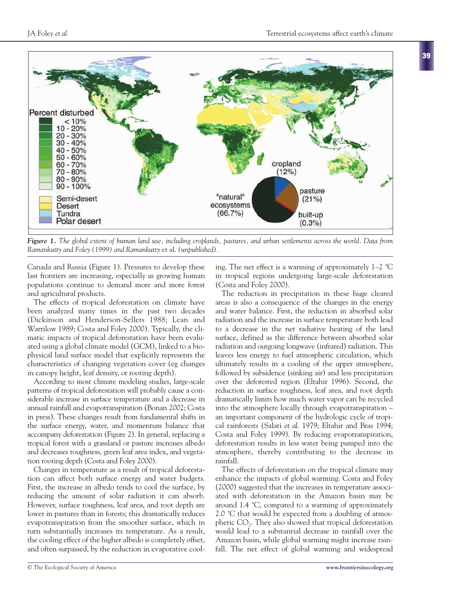

*Figure 1. The global extent of human land use, including croplands, pastures, and urban settlements across the world. Data from Ramankutty and Foley (1999) and Ramankutty* et al. *(unpublished).* 

Canada and Russia (Figure 1). Pressures to develop these last frontiers are increasing, especially as growing human populations continue to demand more and more forest and agricultural products.

The effects of tropical deforestation on climate have been analyzed many times in the past two decades (Dickinson and Henderson-Sellers 1988; Lean and Warrilow 1989; Costa and Foley 2000). Typically, the climatic impacts of tropical deforestation have been evaluated using a global climate model (GCM), linked to a biophysical land surface model that explicitly represents the characteristics of changing vegetation cover (eg changes in canopy height, leaf density, or rooting depth).

According to most climate modeling studies, large-scale patterns of tropical deforestation will probably cause a considerable increase in surface temperature and a decrease in annual rainfall and evapotranspiration (Bonan 2002; Costa in press). These changes result from fundamental shifts in the surface energy, water, and momentum balance that accompany deforestation (Figure 2). In general, replacing a tropical forest with a grassland or pasture increases albedo and decreases roughness, green leaf area index, and vegetation rooting depth (Costa and Foley 2000).

Changes in temperature as a result of tropical deforestation can affect both surface energy and water budgets. First, the increase in albedo tends to cool the surface, by reducing the amount of solar radiation it can absorb. However, surface roughness, leaf area, and root depth are lower in pastures than in forests; this dramatically reduces evapotranspiration from the smoother surface, which in turn substantially increases its temperature. As a result, the cooling effect of the higher albedo is completely offset, and often surpassed, by the reduction in evaporative cooling. The net effect is a warming of approximately  $1-2$  °C in tropical regions undergoing large-scale deforestation (Costa and Foley 2000).

The reduction in precipitation in these huge cleared areas is also a consequence of the changes in the energy and water balance. First, the reduction in absorbed solar radiation and the increase in surface temperature both lead to a decrease in the net radiative heating of the land surface, defined as the difference between absorbed solar radiation and outgoing longwave (infrared) radiation. This leaves less energy to fuel atmospheric circulation, which ultimately results in a cooling of the upper atmosphere, followed by subsidence (sinking air) and less precipitation over the deforested region (Eltahir 1996). Second, the reduction in surface roughness, leaf area, and root depth dramatically limits how much water vapor can be recycled into the atmosphere locally through evapotranspiration – an important component of the hydrologic cycle of tropical rainforests (Salati *et al*. 1979; Eltahir and Bras 1994; Costa and Foley 1999). By reducing evapotranspiration, deforestation results in less water being pumped into the atmosphere, thereby contributing to the decrease in rainfall.

The effects of deforestation on the tropical climate may enhance the impacts of global warming. Costa and Foley (2000) suggested that the increases in temperature associated with deforestation in the Amazon basin may be around 1.4 ˚C, compared to a warming of approximately 2.0 °C that would be expected from a doubling of atmospheric  $CO<sub>2</sub>$ . They also showed that tropical deforestation would lead to a substantial decrease in rainfall over the Amazon basin, while global warming might increase rainfall. The net effect of global warming and widespread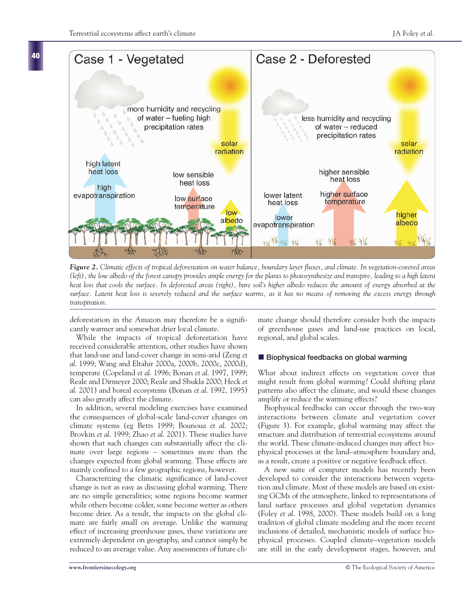**40**



*Figure 2. Climatic effects of tropical deforestation on water balance, boundary layer fluxes, and climate. In vegetation-covered areas (left), the low albedo of the forest canopy provides ample energy for the plants to photosynthesize and transpire, leading to a high latent heat loss that cools the surface. In deforested areas (right), bare soil's higher albedo reduces the amount of energy absorbed at the surface. Latent heat loss is severely reduced and the surface warms, as it has no means of removing the excess energy through transpiration.*

deforestation in the Amazon may therefore be a significantly warmer and somewhat drier local climate.

While the impacts of tropical deforestation have received considerable attention, other studies have shown that land-use and land-cover change in semi-arid (Zeng *et al*. 1999; Wang and Eltahir 2000a, 2000b, 2000c, 2000d), temperate (Copeland *et al*. 1996; Bonan *et al*. 1997, 1999; Reale and Dirmeyer 2000; Reale and Shukla 2000; Heck *et al*. 2001) and boreal ecosystems (Bonan *et al*. 1992, 1995) can also greatly affect the climate.

In addition, several modeling exercises have examined the consequences of global-scale land-cover changes on climate systems (eg Betts 1999; Bounoua *et al*. 2002; Brovkin *et al*. 1999; Zhao *et al*. 2001). These studies have shown that such changes can substantially affect the climate over large regions – sometimes more than the changes expected from global warming. These effects are mainly confined to a few geographic regions, however.

Characterizing the climatic significance of land-cover change is not as easy as discussing global warming. There are no simple generalities; some regions become warmer while others become colder, some become wetter as others become drier. As a result, the impacts on the global climate are fairly small on average. Unlike the warming effect of increasing greenhouse gases, these variations are extremely dependent on geography, and cannot simply be reduced to an average value. Any assessments of future climate change should therefore consider both the impacts of greenhouse gases and land-use practices on local, regional, and global scales.

### $\blacksquare$  **Biophysical feedbacks on global warming**

What about indirect effects on vegetation cover that might result from global warming? Could shifting plant patterns also affect the climate, and would these changes amplify or reduce the warming effects?

Biophysical feedbacks can occur through the two-way interactions between climate and vegetation cover (Figure 3). For example, global warming may affect the structure and distribution of terrestrial ecosystems around the world. These climate-induced changes may affect biophysical processes at the land–atmosphere boundary and, as a result, create a positive or negative feedback effect.

A new suite of computer models has recently been developed to consider the interactions between vegetation and climate. Most of these models are based on existing GCMs of the atmosphere, linked to representations of land surface processes and global vegetation dynamics (Foley *et al*. 1998, 2000). These models build on a long tradition of global climate modeling and the more recent inclusions of detailed, mechanistic models of surface biophysical processes. Coupled climate–vegetation models are still in the early development stages, however, and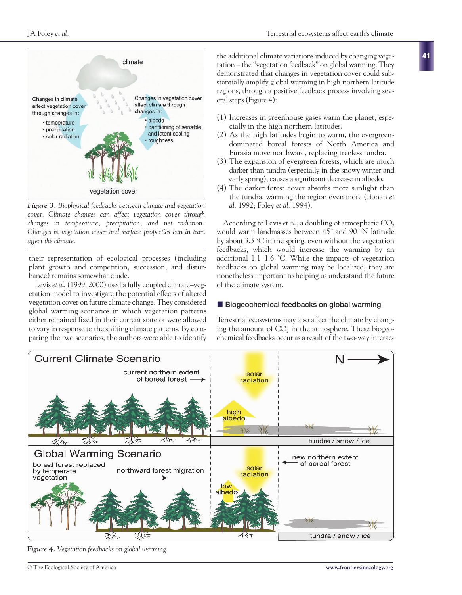![](_page_3_Figure_2.jpeg)

*Figure 3. Biophysical feedbacks between climate and vegetation cover. Climate changes can affect vegetation cover through changes in temperature, precipitation, and net radiation. Changes in vegetation cover and surface properties can in turn affect the climate.*

their representation of ecological processes (including plant growth and competition, succession, and disturbance) remains somewhat crude.

Levis *et al*. (1999, 2000) used a fully coupled climate–vegetation model to investigate the potential effects of altered vegetation cover on future climate change. They considered global warming scenarios in which vegetation patterns either remained fixed in their current state or were allowed to vary in response to the shifting climate patterns. By comparing the two scenarios, the authors were able to identify

the additional climate variations induced by changing vegetation – the "vegetation feedback" on global warming. They demonstrated that changes in vegetation cover could substantially amplify global warming in high northern latitude regions, through a positive feedback process involving several steps (Figure 4):

- (1) Increases in greenhouse gases warm the planet, especially in the high northern latitudes.
- (2) As the high latitudes begin to warm, the evergreendominated boreal forests of North America and Eurasia move northward, replacing treeless tundra.
- (3) The expansion of evergreen forests, which are much darker than tundra (especially in the snowy winter and early spring), causes a significant decrease in albedo.
- (4) The darker forest cover absorbs more sunlight than the tundra, warming the region even more (Bonan *et al*. 1992; Foley *et al*. 1994).

According to Levis *et al.*, a doubling of atmospheric CO<sub>2</sub> would warm landmasses between 45˚ and 90˚ N latitude by about 3.3 °C in the spring, even without the vegetation feedbacks, which would increase the warming by an additional 1.1–1.6 ˚C. While the impacts of vegetation feedbacks on global warming may be localized, they are nonetheless important to helping us understand the future of the climate system.

## $\blacksquare$  **Biogeochemical feedbacks on global warming**

Terrestrial ecosystems may also affect the climate by changing the amount of  $CO<sub>2</sub>$  in the atmosphere. These biogeochemical feedbacks occur as a result of the two-way interac-

![](_page_3_Figure_14.jpeg)

*Figure 4. Vegetation feedbacks on global warming.*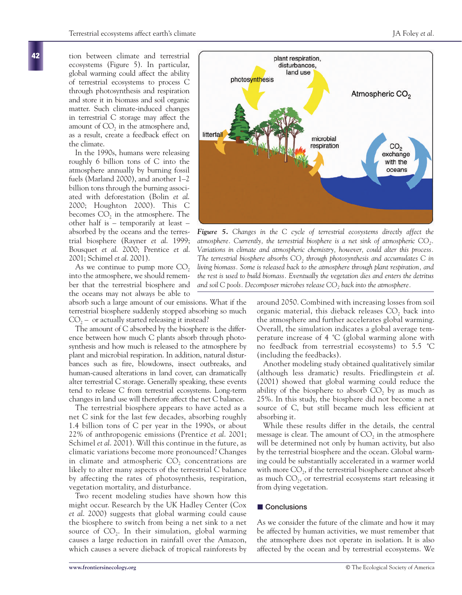tion between climate and terrestrial ecosystems (Figure 5). In particular, global warming could affect the ability of terrestrial ecosystems to process C through photosynthesis and respiration and store it in biomass and soil organic matter. Such climate-induced changes in terrestrial C storage may affect the amount of  $CO<sub>2</sub>$  in the atmosphere and, as a result, create a feedback effect on the climate.

In the 1990s, humans were releasing roughly 6 billion tons of C into the atmosphere annually by burning fossil fuels (Marland 2000), and another 1–2 billion tons through the burning associated with deforestation (Bolin *et al*. 2000; Houghton 2000). This C becomes  $CO<sub>2</sub>$  in the atmosphere. The other half is – temporarily at least – absorbed by the oceans and the terrestrial biosphere (Rayner *et al*. 1999; Bousquet *et al*. 2000; Prentice *et al*. 2001; Schimel *et al*. 2001).

As we continue to pump more  $CO<sub>2</sub>$ into the atmosphere, we should remember that the terrestrial biosphere and the oceans may not always be able to

absorb such a large amount of our emissions. What if the terrestrial biosphere suddenly stopped absorbing so much  $CO<sub>2</sub>$  – or actually started releasing it instead?

The amount of C absorbed by the biosphere is the difference between how much C plants absorb through photosynthesis and how much is released to the atmosphere by plant and microbial respiration. In addition, natural disturbances such as fire, blowdowns, insect outbreaks, and human-caused alterations in land cover, can dramatically alter terrestrial C storage. Generally speaking, these events tend to release C from terrestrial ecosystems. Long-term changes in land use will therefore affect the net C balance.

The terrestrial biosphere appears to have acted as a net C sink for the last few decades, absorbing roughly 1.4 billion tons of C per year in the 1990s, or about 22% of anthropogenic emissions (Prentice *et al*. 2001; Schimel *et al*. 2001). Will this continue in the future, as climatic variations become more pronounced? Changes in climate and atmospheric  $CO<sub>2</sub>$  concentrations are likely to alter many aspects of the terrestrial C balance by affecting the rates of photosynthesis, respiration, vegetation mortality, and disturbance.

Two recent modeling studies have shown how this might occur. Research by the UK Hadley Center (Cox *et al*. 2000) suggests that global warming could cause the biosphere to switch from being a net sink to a net source of  $CO<sub>2</sub>$ . In their simulation, global warming causes a large reduction in rainfall over the Amazon, which causes a severe dieback of tropical rainforests by

![](_page_4_Figure_9.jpeg)

*Figure 5. Changes in the C cycle of terrestrial ecosystems directly affect the atmosphere. Currently, the terrestrial biosphere is a net sink of atmospheric CO<sub>2</sub>. Variations in climate and atmospheric chemistry, however, could alter this process. The terrestrial biosphere absorbs CO<sub>2</sub> through photosynthesis and accumulates C in living biomass. Some is released back to the atmosphere through plant respiration, and the rest is used to build biomass. Eventually the vegetation dies and enters the detritus* and soil C pools. Decomposer microbes release CO<sub>2</sub> back into the atmosphere.

around 2050. Combined with increasing losses from soil organic material, this dieback releases  $CO<sub>2</sub>$  back into the atmosphere and further accelerates global warming. Overall, the simulation indicates a global average temperature increase of 4 ˚C (global warming alone with no feedback from terrestrial ecosystems) to 5.5 ˚C (including the feedbacks).

Another modeling study obtained qualitatively similar (although less dramatic) results. Friedlingstein *et al*. (2001) showed that global warming could reduce the ability of the biosphere to absorb  $CO<sub>2</sub>$  by as much as 25%. In this study, the biosphere did not become a net source of C, but still became much less efficient at absorbing it.

While these results differ in the details, the central message is clear. The amount of  $CO<sub>2</sub>$  in the atmosphere will be determined not only by human activity, but also by the terrestrial biosphere and the ocean. Global warming could be substantially accelerated in a warmer world with more  $CO<sub>2</sub>$ , if the terrestrial biosphere cannot absorb as much  $CO<sub>2</sub>$ , or terrestrial ecosystems start releasing it from dying vegetation.

### $\blacksquare$  Conclusions

As we consider the future of the climate and how it may be affected by human activities, we must remember that the atmosphere does not operate in isolation. It is also affected by the ocean and by terrestrial ecosystems. We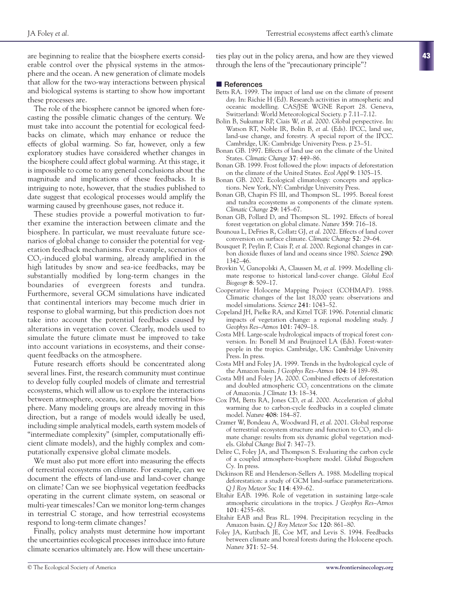**43**

are beginning to realize that the biosphere exerts considerable control over the physical systems in the atmosphere and the ocean. A new generation of climate models that allow for the two-way interactions between physical and biological systems is starting to show how important these processes are.

The role of the biosphere cannot be ignored when forecasting the possible climatic changes of the century. We must take into account the potential for ecological feedbacks on climate, which may enhance or reduce the effects of global warming. So far, however, only a few exploratory studies have considered whether changes in the biosphere could affect global warming. At this stage, it is impossible to come to any general conclusions about the magnitude and implications of these feedbacks. It is intriguing to note, however, that the studies published to date suggest that ecological processes would amplify the warming caused by greenhouse gases, not reduce it.

These studies provide a powerful motivation to further examine the interaction between climate and the biosphere. In particular, we must reevaluate future scenarios of global change to consider the potential for vegetation feedback mechanisms. For example, scenarios of  $CO<sub>2</sub>$ -induced global warming, already amplified in the high latitudes by snow and sea-ice feedbacks, may be substantially modified by long-term changes in the boundaries of evergreen forests and tundra. Furthermore, several GCM simulations have indicated that continental interiors may become much drier in response to global warming, but this prediction does not take into account the potential feedbacks caused by alterations in vegetation cover. Clearly, models used to simulate the future climate must be improved to take into account variations in ecosystems, and their consequent feedbacks on the atmosphere.

Future research efforts should be concentrated along several lines. First, the research community must continue to develop fully coupled models of climate and terrestrial ecosystems, which will allow us to explore the interactions between atmosphere, oceans, ice, and the terrestrial biosphere. Many modeling groups are already moving in this direction, but a range of models would ideally be used, including simple analytical models, earth system models of "intermediate complexity" (simpler, computationally efficient climate models), and the highly complex and computationally expensive global climate models.

We must also put more effort into measuring the effects of terrestrial ecosystems on climate. For example, can we document the effects of land-use and land-cover change on climate? Can we see biophysical vegetation feedbacks operating in the current climate system, on seasonal or multi-year timescales? Can we monitor long-term changes in terrestrial C storage, and how terrestrial ecosystems respond to long-term climate changes?

Finally, policy analysts must determine how important the uncertainties ecological processes introduce into future climate scenarios ultimately are. How will these uncertainties play out in the policy arena, and how are they viewed through the lens of the "precautionary principle"?

### - **References**

- Betts RA. 1999. The impact of land use on the climate of present day. In: Richie H (Ed). Research activities in atmospheric and oceanic modelling. CAS/JSE WGNE Report 28. Geneva, Switzerland: World Meteorological Society. p 7.11–7.12.
- Bolin B, Sukumar RP, Ciais W, *et al*. 2000. Global perspective. In: Watson RT, Noble IR, Bolin B, *et al*. (Eds). IPCC, land use, land-use change, and forestry. A special report of the IPCC. Cambridge, UK: Cambridge University Press. p 23–51.
- Bonan GB. 1997. Effects of land use on the climate of the United States. *Climatic Change* **37**: 449–86.
- Bonan GB. 1999. Frost followed the plow: impacts of deforestation on the climate of the United States. *Ecol Appl* **9**: 1305–15.
- Bonan GB. 2002. Ecological climatology: concepts and applications. New York, NY: Cambridge University Press.
- Bonan GB, Chapin FS III, and Thompson SL. 1995. Boreal forest and tundra ecosystems as components of the climate system. *Climatic Change* **29**: 145–67.
- Bonan GB, Pollard D, and Thompson SL. 1992. Effects of boreal forest vegetation on global climate. *Nature* **359**: 716–18.
- Bounoua L, DeFries R, Collatz GJ, *et al*. 2002. Effects of land cover conversion on surface climate. *Climatic Change* **52**: 29–64.
- Bousquet P, Peylin P, Ciais P, *et al*. 2000. Regional changes in carbon dioxide fluxes of land and oceans since 1980. *Science* **290**: 1342–46.
- Brovkin V, Ganopolski A, Claussen M, *et al*. 1999. Modelling climate response to historical land-cover change. *Global Ecol Biogeogr* **8**: 509–17.
- Cooperative Holocene Mapping Project (COHMAP). 1988. Climatic changes of the last 18,000 years: observations and model simulations. *Science* **241**: 1043–52.
- Copeland JH, Pielke RA, and Kittel TGF. 1996. Potential climatic impacts of vegetation change: a regional modeling study. *J Geophys Res–Atmos* **101**: 7409–18.
- Costa MH. Large-scale hydrological impacts of tropical forest conversion. In: Bonell M and Bruijnzeel LA (Eds). Forest-waterpeople in the tropics. Cambridge, UK: Cambridge University Press. In press.
- Costa MH and Foley JA. 1999. Trends in the hydrological cycle of the Amazon basin. *J Geophys Res–Atmos* **104**: 14 189–98.
- Costa MH and Foley JA. 2000. Combined effects of deforestation and doubled atmospheric CO<sub>2</sub> concentrations on the climate of Amazonia. *J Climate* **13**: 18–34.
- Cox PM, Betts RA, Jones CD, *et al*. 2000. Acceleration of global warming due to carbon-cycle feedbacks in a coupled climate model. *Nature* **408**: 184–87.
- Cramer W, Bondeau A, Woodward FI, *et al*. 2001. Global response of terrestrial ecosystem structure and function to  $CO<sub>2</sub>$  and climate change: results from six dynamic global vegetation models. *Global Change Biol* **7**: 347–73.
- Delire C, Foley JA, and Thompson S. Evaluating the carbon cycle of a coupled atmosphere-biosphere model. *Global Biogeochem Cy.* In press.
- Dickinson RE and Henderson-Sellers A. 1988. Modelling tropical deforestation: a study of GCM land-surface parameterizations. *Q J Roy Meteor Soc* **114**: 439–62.
- Eltahir EAB. 1996. Role of vegetation in sustaining large-scale atmospheric circulations in the tropics. *J Geophys Res–Atmos* **101**: 4255–68.
- Eltahir EAB and Bras RL. 1994. Precipitation recycling in the Amazon basin. *Q J Roy Meteor Soc* **120**: 861–80.
- Foley JA, Kutzbach JE, Coe MT, and Levis S. 1994. Feedbacks between climate and boreal forests during the Holocene epoch. *Nature* **371**: 52–54.